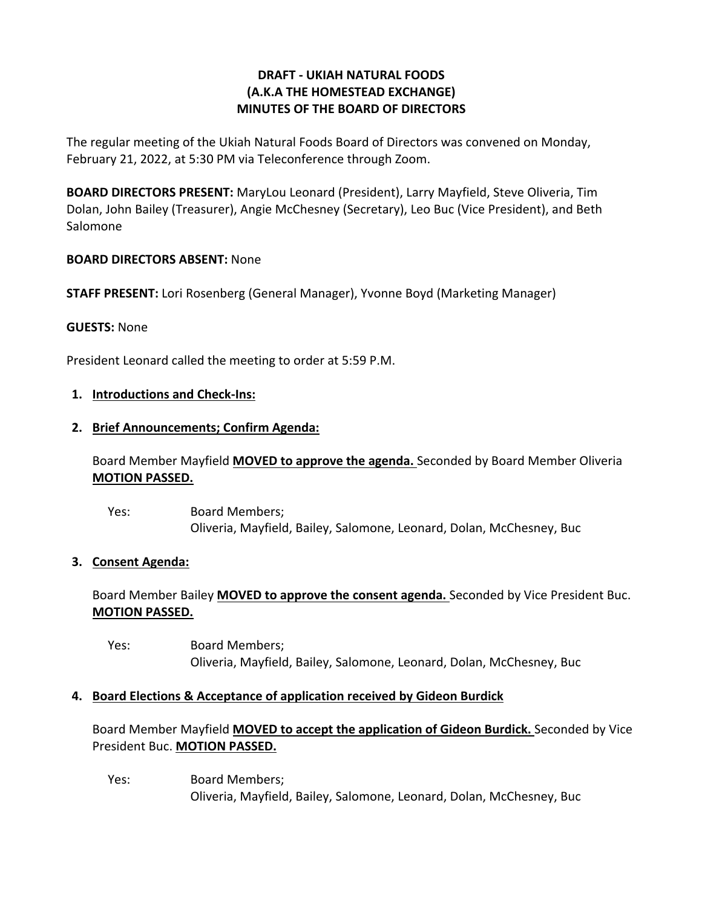# **DRAFT - UKIAH NATURAL FOODS (A.K.A THE HOMESTEAD EXCHANGE) MINUTES OF THE BOARD OF DIRECTORS**

The regular meeting of the Ukiah Natural Foods Board of Directors was convened on Monday, February 21, 2022, at 5:30 PM via Teleconference through Zoom.

**BOARD DIRECTORS PRESENT:** MaryLou Leonard (President), Larry Mayfield, Steve Oliveria, Tim Dolan, John Bailey (Treasurer), Angie McChesney (Secretary), Leo Buc (Vice President), and Beth Salomone

## **BOARD DIRECTORS ABSENT:** None

**STAFF PRESENT:** Lori Rosenberg (General Manager), Yvonne Boyd (Marketing Manager)

### **GUESTS:** None

President Leonard called the meeting to order at 5:59 P.M.

### **1. Introductions and Check-Ins:**

#### **2. Brief Announcements; Confirm Agenda:**

Board Member Mayfield **MOVED to approve the agenda.** Seconded by Board Member Oliveria **MOTION PASSED.**

Yes: Board Members; Oliveria, Mayfield, Bailey, Salomone, Leonard, Dolan, McChesney, Buc

### **3. Consent Agenda:**

Board Member Bailey **MOVED to approve the consent agenda.** Seconded by Vice President Buc. **MOTION PASSED.** 

Yes: Board Members; Oliveria, Mayfield, Bailey, Salomone, Leonard, Dolan, McChesney, Buc

### **4. Board Elections & Acceptance of application received by Gideon Burdick**

Board Member Mayfield **MOVED to accept the application of Gideon Burdick.** Seconded by Vice President Buc. **MOTION PASSED.** 

Yes: Board Members; Oliveria, Mayfield, Bailey, Salomone, Leonard, Dolan, McChesney, Buc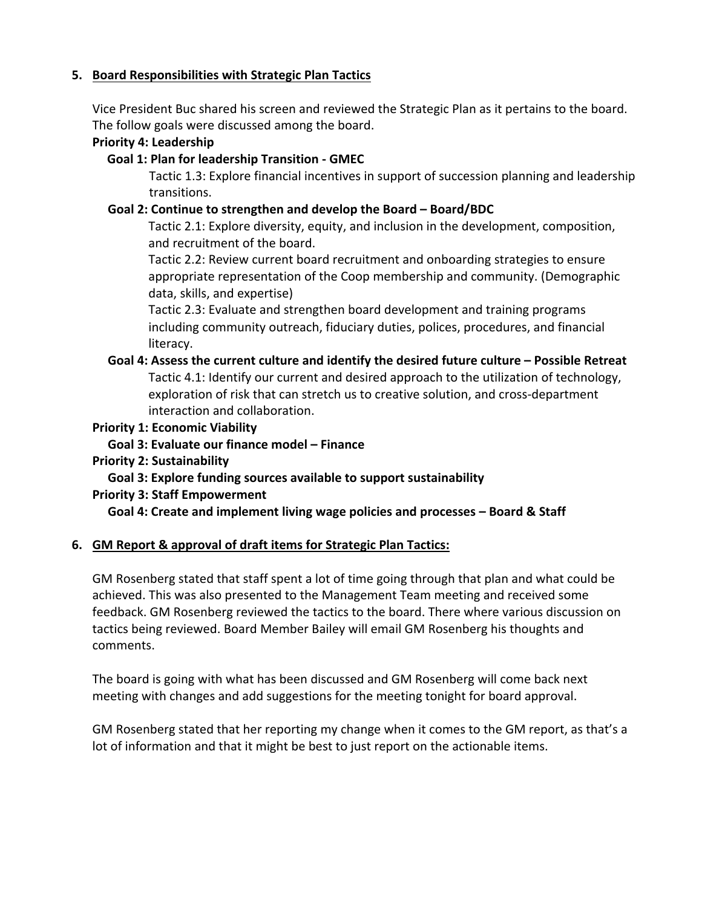# **5. Board Responsibilities with Strategic Plan Tactics**

Vice President Buc shared his screen and reviewed the Strategic Plan as it pertains to the board. The follow goals were discussed among the board.

## **Priority 4: Leadership**

## **Goal 1: Plan for leadership Transition - GMEC**

Tactic 1.3: Explore financial incentives in support of succession planning and leadership transitions.

## **Goal 2: Continue to strengthen and develop the Board – Board/BDC**

Tactic 2.1: Explore diversity, equity, and inclusion in the development, composition, and recruitment of the board.

Tactic 2.2: Review current board recruitment and onboarding strategies to ensure appropriate representation of the Coop membership and community. (Demographic data, skills, and expertise)

Tactic 2.3: Evaluate and strengthen board development and training programs including community outreach, fiduciary duties, polices, procedures, and financial literacy.

**Goal 4: Assess the current culture and identify the desired future culture – Possible Retreat** Tactic 4.1: Identify our current and desired approach to the utilization of technology, exploration of risk that can stretch us to creative solution, and cross-department interaction and collaboration.

## **Priority 1: Economic Viability**

- **Goal 3: Evaluate our finance model – Finance**
- **Priority 2: Sustainability**

# **Goal 3: Explore funding sources available to support sustainability**

### **Priority 3: Staff Empowerment**

**Goal 4: Create and implement living wage policies and processes – Board & Staff**

# **6. GM Report & approval of draft items for Strategic Plan Tactics:**

GM Rosenberg stated that staff spent a lot of time going through that plan and what could be achieved. This was also presented to the Management Team meeting and received some feedback. GM Rosenberg reviewed the tactics to the board. There where various discussion on tactics being reviewed. Board Member Bailey will email GM Rosenberg his thoughts and comments.

The board is going with what has been discussed and GM Rosenberg will come back next meeting with changes and add suggestions for the meeting tonight for board approval.

GM Rosenberg stated that her reporting my change when it comes to the GM report, as that's a lot of information and that it might be best to just report on the actionable items.